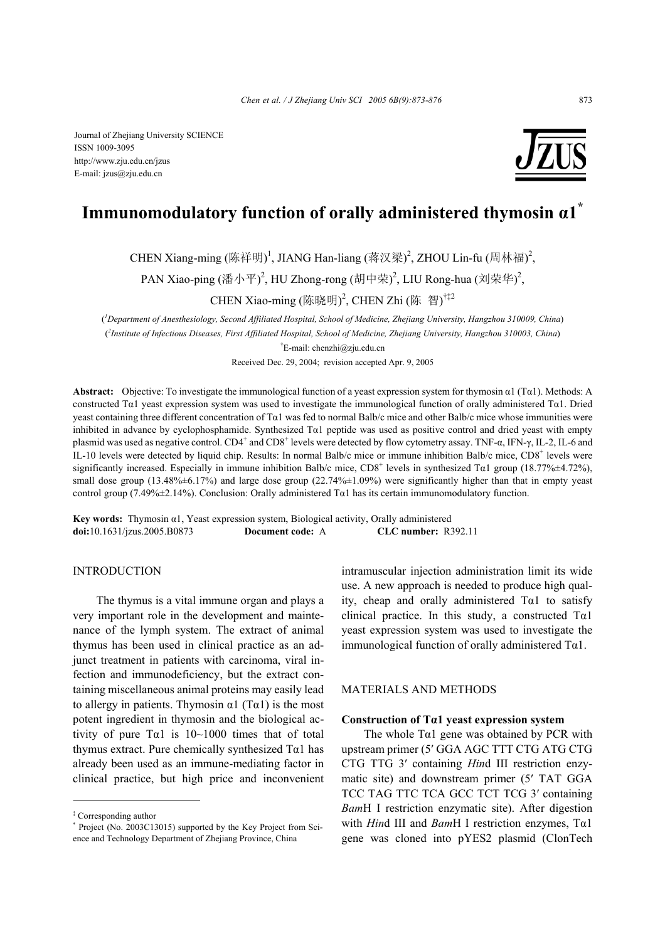Journal of Zhejiang University SCIENCE ISSN 1009-3095 http://www.zju.edu.cn/jzus E-mail: jzus@zju.edu.cn

# **Immunomodulatory function of orally administered thymosin α1\***

CHEN Xiang-ming (陈祥明)<sup>1</sup>, JIANG Han-liang (蒋汉梁)<sup>2</sup>, ZHOU Lin-fu (周林福)<sup>2</sup>,

PAN Xiao-ping (潘小平)<sup>2</sup>, HU Zhong-rong (胡中荣)<sup>2</sup>, LIU Rong-hua (刘荣华)<sup>2</sup>,

CHEN Xiao-ming (陈晓明)<sup>2</sup>, CHEN Zhi (陈 智)<sup>†‡2</sup>

( *1 Department of Anesthesiology, Second Affiliated Hospital, School of Medicine, Zhejiang University, Hangzhou 310009, China*) ( *2 Institute of Infectious Diseases, First Affiliated Hospital, School of Medicine, Zhejiang University, Hangzhou 310003, China*) † E-mail: chenzhi@zju.edu.cn

Received Dec. 29, 2004; revision accepted Apr. 9, 2005

**Abstract:** Objective: To investigate the immunological function of a yeast expression system for thymosin α1 (Tα1). Methods: A constructed T $\alpha$ 1 yeast expression system was used to investigate the immunological function of orally administered T $\alpha$ 1. Dried yeast containing three different concentration of Tα1 was fed to normal Balb/c mice and other Balb/c mice whose immunities were inhibited in advance by cyclophosphamide. Synthesized Tα1 peptide was used as positive control and dried yeast with empty plasmid was used as negative control. CD4<sup>+</sup> and CD8<sup>+</sup> levels were detected by flow cytometry assay. TNF-α, IFN-γ, IL-2, IL-6 and IL-10 levels were detected by liquid chip. Results: In normal Balb/c mice or immune inhibition Balb/c mice, CD8<sup>+</sup> levels were significantly increased. Especially in immune inhibition Balb/c mice,  $CD8^+$  levels in synthesized T $\alpha$ 1 group (18.77% $\pm$ 4.72%), small dose group (13.48%±6.17%) and large dose group (22.74%±1.09%) were significantly higher than that in empty yeast control group (7.49%±2.14%). Conclusion: Orally administered Tα1 has its certain immunomodulatory function.

**Key words:** Thymosin α1, Yeast expression system, Biological activity, Orally administered **doi:**10.1631/jzus.2005.B0873 **Document code:** A **CLC number:** R392.11

#### INTRODUCTION

The thymus is a vital immune organ and plays a very important role in the development and maintenance of the lymph system. The extract of animal thymus has been used in clinical practice as an adjunct treatment in patients with carcinoma, viral infection and immunodeficiency, but the extract containing miscellaneous animal proteins may easily lead to allergy in patients. Thymosin  $\alpha$ 1 (T $\alpha$ 1) is the most potent ingredient in thymosin and the biological activity of pure T $\alpha$ 1 is 10~1000 times that of total thymus extract. Pure chemically synthesized  $Ta1$  has already been used as an immune-mediating factor in clinical practice, but high price and inconvenient

intramuscular injection administration limit its wide use. A new approach is needed to produce high quality, cheap and orally administered  $Ta1$  to satisfy clinical practice. In this study, a constructed  $Ta1$ yeast expression system was used to investigate the immunological function of orally administered  $Ta1$ .

#### MATERIALS AND METHODS

#### **Construction of Tα1 yeast expression system**

The whole  $Ta1$  gene was obtained by PCR with upstream primer (5′ GGA AGC TTT CTG ATG CTG CTG TTG 3′ containing *Hin*d III restriction enzymatic site) and downstream primer (5′ TAT GGA TCC TAG TTC TCA GCC TCT TCG 3′ containing *Bam*H I restriction enzymatic site). After digestion with *Hin*d III and *Bam*H I restriction enzymes, Tα1 gene was cloned into pYES2 plasmid (ClonTech

<sup>‡</sup> Corresponding author

<sup>\*</sup> Project (No. 2003C13015) supported by the Key Project from Science and Technology Department of Zhejiang Province, China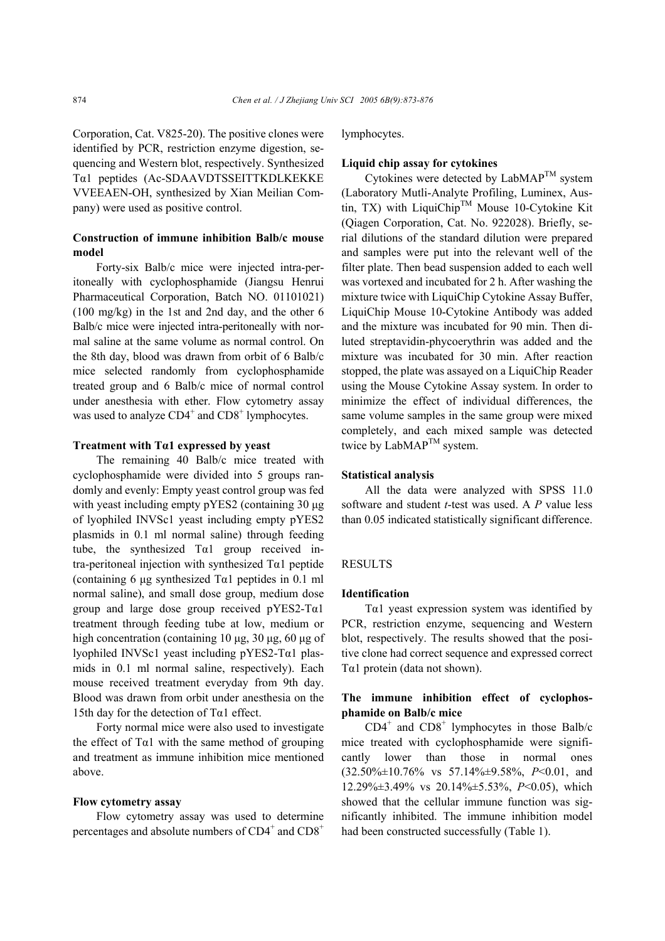Corporation, Cat. V825-20). The positive clones were identified by PCR, restriction enzyme digestion, sequencing and Western blot, respectively. Synthesized Tα1 peptides (Ac-SDAAVDTSSEITTKDLKEKKE VVEEAEN-OH, synthesized by Xian Meilian Company) were used as positive control.

# **Construction of immune inhibition Balb/c mouse model**

Forty-six Balb/c mice were injected intra-peritoneally with cyclophosphamide (Jiangsu Henrui Pharmaceutical Corporation, Batch NO. 01101021) (100 mg/kg) in the 1st and 2nd day, and the other 6 Balb/c mice were injected intra-peritoneally with normal saline at the same volume as normal control. On the 8th day, blood was drawn from orbit of 6 Balb/c mice selected randomly from cyclophosphamide treated group and 6 Balb/c mice of normal control under anesthesia with ether. Flow cytometry assay was used to analyze  $CD4^+$  and  $CD8^+$  lymphocytes.

#### **Treatment with Tα1 expressed by yeast**

The remaining 40 Balb/c mice treated with cyclophosphamide were divided into 5 groups randomly and evenly: Empty yeast control group was fed with yeast including empty pYES2 (containing 30  $\mu$ g) of lyophiled INVSc1 yeast including empty pYES2 plasmids in 0.1 ml normal saline) through feeding tube, the synthesized  $Ta1$  group received intra-peritoneal injection with synthesized Tα1 peptide (containing 6  $\mu$ g synthesized T $\alpha$ 1 peptides in 0.1 ml normal saline), and small dose group, medium dose group and large dose group received  $pYES2-T\alpha1$ treatment through feeding tube at low, medium or high concentration (containing 10 µg, 30 µg, 60 µg of lyophiled INVSc1 yeast including pYES2-Tα1 plasmids in 0.1 ml normal saline, respectively). Each mouse received treatment everyday from 9th day. Blood was drawn from orbit under anesthesia on the 15th day for the detection of  $Ta1$  effect.

Forty normal mice were also used to investigate the effect of T $\alpha$ 1 with the same method of grouping and treatment as immune inhibition mice mentioned above.

#### **Flow cytometry assay**

Flow cytometry assay was used to determine percentages and absolute numbers of  $CD4^+$  and  $CD8^+$ 

lymphocytes.

#### **Liquid chip assay for cytokines**

Cytokines were detected by  $LabMAP^{TM}$  system (Laboratory Mutli-Analyte Profiling, Luminex, Austin, TX) with LiquiChip<sup>TM</sup> Mouse 10-Cytokine Kit (Qiagen Corporation, Cat. No. 922028). Briefly, serial dilutions of the standard dilution were prepared and samples were put into the relevant well of the filter plate. Then bead suspension added to each well was vortexed and incubated for 2 h. After washing the mixture twice with LiquiChip Cytokine Assay Buffer, LiquiChip Mouse 10-Cytokine Antibody was added and the mixture was incubated for 90 min. Then diluted streptavidin-phycoerythrin was added and the mixture was incubated for 30 min. After reaction stopped, the plate was assayed on a LiquiChip Reader using the Mouse Cytokine Assay system. In order to minimize the effect of individual differences, the same volume samples in the same group were mixed completely, and each mixed sample was detected twice by LabMA $P^{TM}$  system.

### **Statistical analysis**

All the data were analyzed with SPSS 11.0 software and student *t*-test was used. A *P* value less than 0.05 indicated statistically significant difference.

#### **RESULTS**

### **Identification**

T $\alpha$ 1 yeast expression system was identified by PCR, restriction enzyme, sequencing and Western blot, respectively. The results showed that the positive clone had correct sequence and expressed correct Tα1 protein (data not shown).

# **The immune inhibition effect of cyclophosphamide on Balb/c mice**

 $CD4^+$  and  $CD8^+$  lymphocytes in those Balb/c mice treated with cyclophosphamide were significantly lower than those in normal ones (32.50%±10.76% vs 57.14%±9.58%, *P*<0.01, and 12.29%±3.49% vs 20.14%±5.53%, *P*<0.05), which showed that the cellular immune function was significantly inhibited. The immune inhibition model had been constructed successfully (Table 1).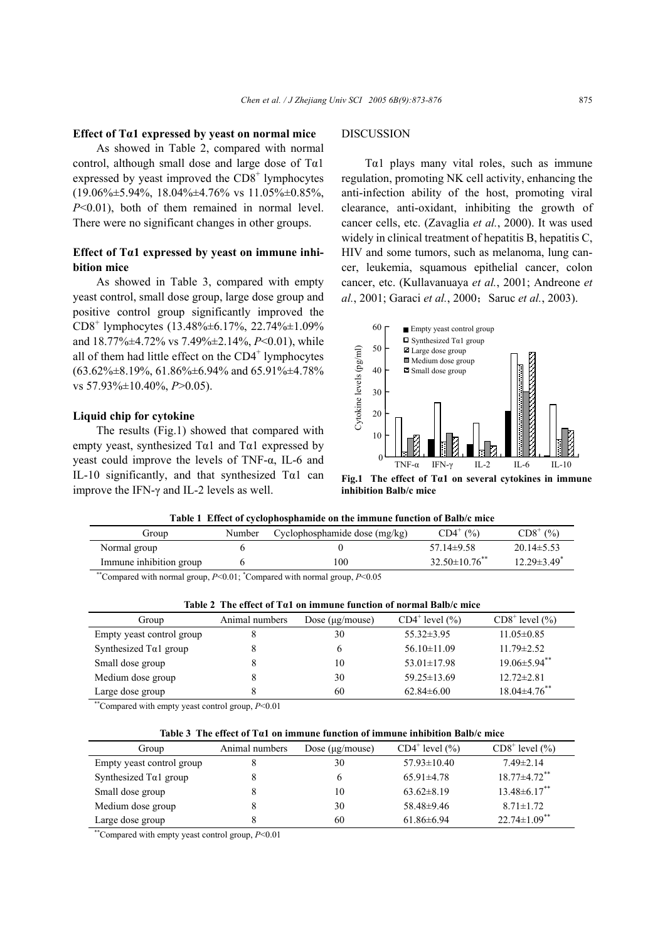#### **Effect of Tα1 expressed by yeast on normal mice**

As showed in Table 2, compared with normal control, although small dose and large dose of  $Ta1$ expressed by yeast improved the  $CDS<sup>+</sup>$  lymphocytes  $(19.06\% \pm 5.94\%$ ,  $18.04\% \pm 4.76\%$  vs  $11.05\% \pm 0.85\%$ , *P*<0.01), both of them remained in normal level. There were no significant changes in other groups.

# **Effect of Tα1 expressed by yeast on immune inhibition mice**

As showed in Table 3, compared with empty yeast control, small dose group, large dose group and positive control group significantly improved the CD8<sup>+</sup> lymphocytes (13.48%±6.17%, 22.74%±1.09% and 18.77%±4.72% vs 7.49%±2.14%, *P*<0.01), while all of them had little effect on the CD4<sup>+</sup> lymphocytes (63.62%±8.19%, 61.86%±6.94% and 65.91%±4.78% vs 57.93%±10.40%, *P*>0.05).

#### **Liquid chip for cytokine**

The results (Fig.1) showed that compared with empty yeast, synthesized  $Ta1$  and  $Ta1$  expressed by yeast could improve the levels of TNF-α, IL-6 and IL-10 significantly, and that synthesized Tα1 can improve the IFN-γ and IL-2 levels as well.

## DISCUSSION

T $\alpha$ 1 plays many vital roles, such as immune regulation, promoting NK cell activity, enhancing the anti-infection ability of the host, promoting viral clearance, anti-oxidant, inhibiting the growth of cancer cells, etc. (Zavaglia *et al.*, 2000). It was used widely in clinical treatment of hepatitis B, hepatitis C, HIV and some tumors, such as melanoma, lung cancer, leukemia, squamous epithelial cancer, colon cancer, etc. (Kullavanuaya *et al.*, 2001; Andreone *et al.*, 2001; Garaci *et al.*, 2000; Saruc *et al.*, 2003).



**Fig.1 The effect of Tα1 on several cytokines in immune** 

| Table 1 Effect of cyclophosphamide on the immune function of Balb/c mice |            |                                 |                               |                               |  |
|--------------------------------------------------------------------------|------------|---------------------------------|-------------------------------|-------------------------------|--|
| Group                                                                    | Number     | Cyclophosphamide dose $(mg/kg)$ | $CD4^+(%)$                    | $CD8^+(%)$                    |  |
| Normal group                                                             |            |                                 | $57.14\pm9.58$                | $20.14 \pm 5.53$              |  |
| Immune inhibition group                                                  |            | 100                             | $32.50\pm10.76$ <sup>**</sup> | $12.29 \pm 3.49$ <sup>*</sup> |  |
| $** \sim$<br>$\sim$ $\sim$ $\sim$ $\sim$ $\sim$ $\sim$                   | $R = 0.01$ |                                 |                               |                               |  |

| **Compared with normal group, $P<0.01$ ; *Compared with normal group, $P<0.05$ |  |
|--------------------------------------------------------------------------------|--|
|--------------------------------------------------------------------------------|--|

| Table 2 The effect of $Ta1$ on immune function of normal Balb/c mice |  |
|----------------------------------------------------------------------|--|
|                                                                      |  |

| Group                     | Animal numbers | Dose $(\mu$ g/mouse) | $CD4^+$ level $(\% )$ | $CD8+$ level $(\% )$ |
|---------------------------|----------------|----------------------|-----------------------|----------------------|
| Empty yeast control group |                | 30                   | $55.32 \pm 3.95$      | $11.05 \pm 0.85$     |
| Synthesized $Ta1$ group   |                | O                    | $56.10 \pm 11.09$     | $11.79 \pm 2.52$     |
| Small dose group          |                | 10                   | $53.01 \pm 17.98$     | $19.06 \pm 5.94$ **  |
| Medium dose group         |                | 30                   | $59.25 \pm 13.69$     | $12.72 \pm 2.81$     |
| Large dose group          |                | 60                   | $62.84\pm 6.00$       | $18.04 \pm 4.76$ **  |

--\*\*Compared with empty yeast control group, *P*<0.01

#### **Table 3 The effect of Tα1 on immune function of immune inhibition Balb/c mice**

| Group                     | Animal numbers | Dose $(\mu$ g/mouse) | $CD4^+$ level $(\% )$ | $CD8+$ level $(\% )$           |
|---------------------------|----------------|----------------------|-----------------------|--------------------------------|
| Empty yeast control group |                | 30                   | $57.93 \pm 10.40$     | $7.49 \pm 2.14$                |
| Synthesized $Ta1$ group   |                | O                    | $65.91 \pm 4.78$      | $18.77 \pm 4.72$ **            |
| Small dose group          |                | 10                   | $63.62 \pm 8.19$      | $13.48 \pm 6.17$ **            |
| Medium dose group         |                | 30                   | $58.48\pm9.46$        | $8.71 \pm 1.72$                |
| Large dose group          |                | 60                   | $61.86\pm 6.94$       | $22.74 \pm 1.09$ <sup>**</sup> |

\*\*Compared with empty yeast control group,  $P<0.01$